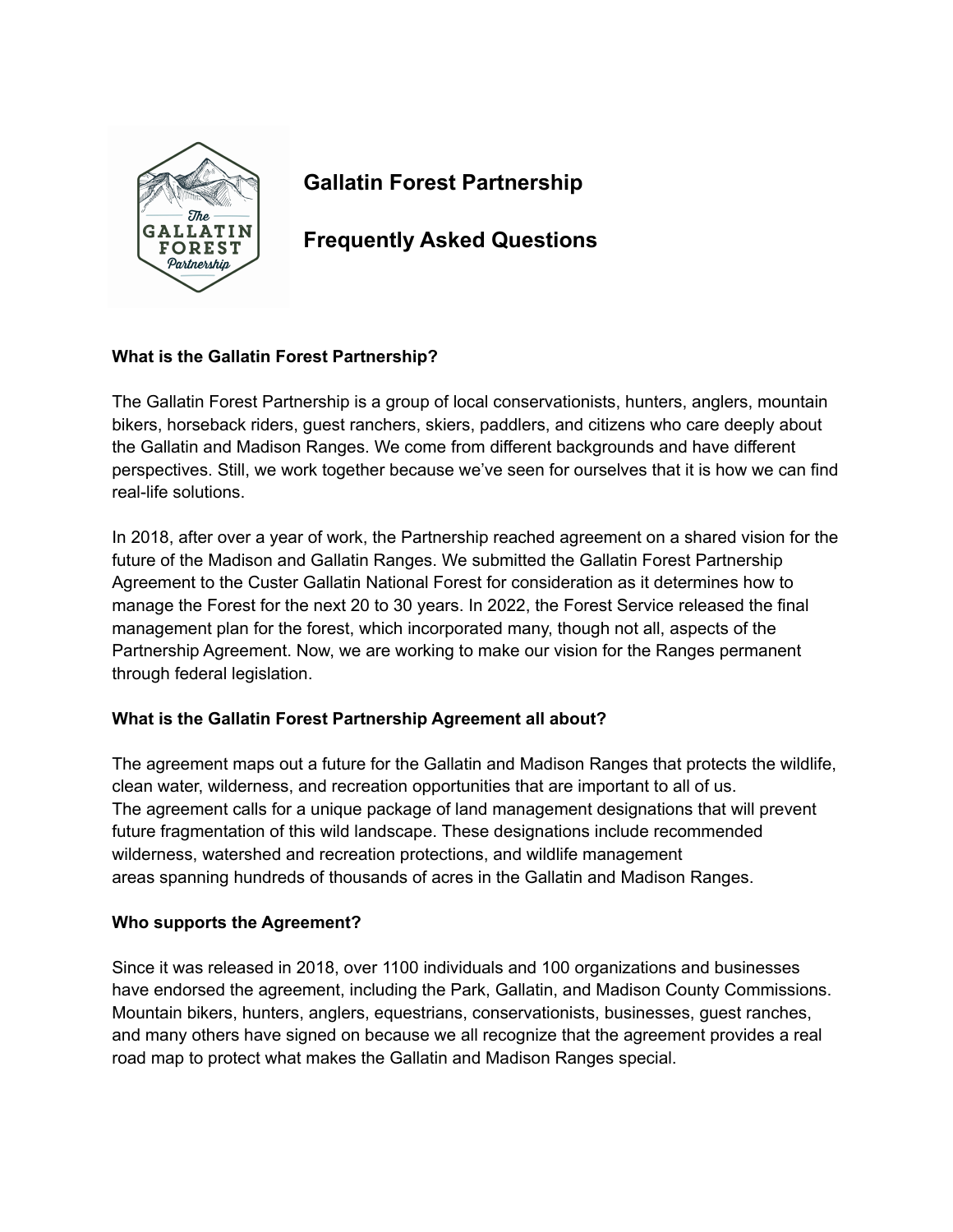

# **Gallatin Forest Partnership**

**Frequently Asked Questions**

# **What is the Gallatin Forest Partnership?**

The Gallatin Forest Partnership is a group of local conservationists, hunters, anglers, mountain bikers, horseback riders, guest ranchers, skiers, paddlers, and citizens who care deeply about the Gallatin and Madison Ranges. We come from different backgrounds and have different perspectives. Still, we work together because we've seen for ourselves that it is how we can find real-life solutions.

In 2018, after over a year of work, the Partnership reached agreement on a shared vision for the future of the Madison and Gallatin Ranges. We submitted the Gallatin Forest Partnership Agreement to the Custer Gallatin National Forest for consideration as it determines how to manage the Forest for the next 20 to 30 years. In 2022, the Forest Service released the final management plan for the forest, which incorporated many, though not all, aspects of the Partnership Agreement. Now, we are working to make our vision for the Ranges permanent through federal legislation.

# **What is the Gallatin Forest Partnership Agreement all about?**

The agreement maps out a future for the Gallatin and Madison Ranges that protects the wildlife, clean water, wilderness, and recreation opportunities that are important to all of us. The agreement calls for a unique package of land management designations that will prevent future fragmentation of this wild landscape. These designations include recommended wilderness, watershed and recreation protections, and wildlife management areas spanning hundreds of thousands of acres in the Gallatin and Madison Ranges.

# **Who supports the Agreement?**

Since it was released in 2018, over 1100 individuals and 100 organizations and businesses have endorsed the agreement, including the Park, Gallatin, and Madison County Commissions. Mountain bikers, hunters, anglers, equestrians, conservationists, businesses, guest ranches, and many others have signed on because we all recognize that the agreement provides a real road map to protect what makes the Gallatin and Madison Ranges special.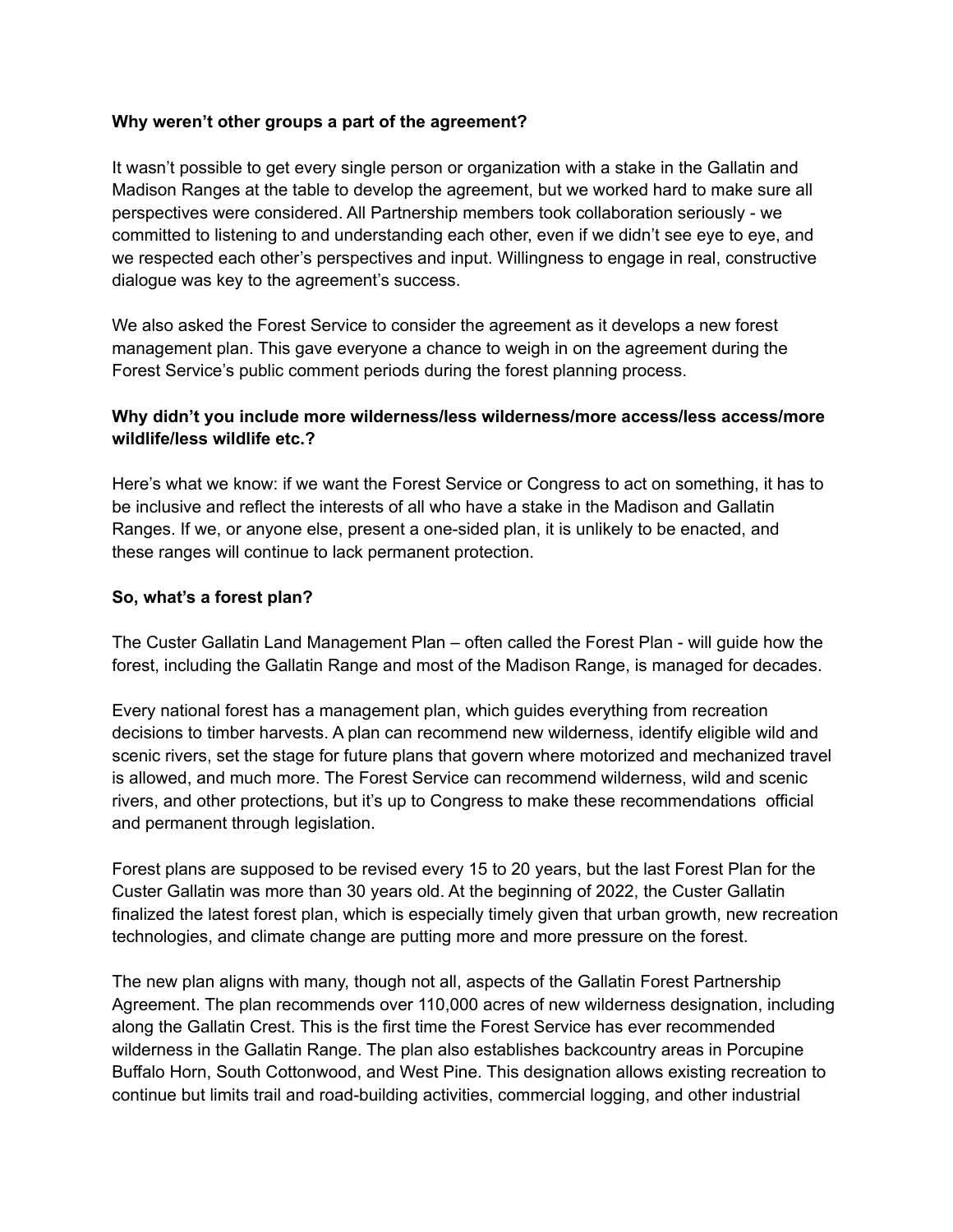#### **Why weren't other groups a part of the agreement?**

It wasn't possible to get every single person or organization with a stake in the Gallatin and Madison Ranges at the table to develop the agreement, but we worked hard to make sure all perspectives were considered. All Partnership members took collaboration seriously - we committed to listening to and understanding each other, even if we didn't see eye to eye, and we respected each other's perspectives and input. Willingness to engage in real, constructive dialogue was key to the agreement's success.

We also asked the Forest Service to consider the agreement as it develops a new forest management plan. This gave everyone a chance to weigh in on the agreement during the Forest Service's public comment periods during the forest planning process.

## **Why didn't you include more wilderness/less wilderness/more access/less access/more wildlife/less wildlife etc.?**

Here's what we know: if we want the Forest Service or Congress to act on something, it has to be inclusive and reflect the interests of all who have a stake in the Madison and Gallatin Ranges. If we, or anyone else, present a one-sided plan, it is unlikely to be enacted, and these ranges will continue to lack permanent protection.

#### **So, what's a forest plan?**

The Custer Gallatin Land Management Plan – often called the Forest Plan - will guide how the forest, including the Gallatin Range and most of the Madison Range, is managed for decades.

Every national forest has a management plan, which guides everything from recreation decisions to timber harvests. A plan can recommend new wilderness, identify eligible wild and scenic rivers, set the stage for future plans that govern where motorized and mechanized travel is allowed, and much more. The Forest Service can recommend wilderness, wild and scenic rivers, and other protections, but it's up to Congress to make these recommendations official and permanent through legislation.

Forest plans are supposed to be revised every 15 to 20 years, but the last Forest Plan for the Custer Gallatin was more than 30 years old. At the beginning of 2022, the Custer Gallatin finalized the latest forest plan, which is especially timely given that urban growth, new recreation technologies, and climate change are putting more and more pressure on the forest.

The new plan aligns with many, though not all, aspects of the Gallatin Forest Partnership Agreement. The plan recommends over 110,000 acres of new wilderness designation, including along the Gallatin Crest. This is the first time the Forest Service has ever recommended wilderness in the Gallatin Range. The plan also establishes backcountry areas in Porcupine Buffalo Horn, South Cottonwood, and West Pine. This designation allows existing recreation to continue but limits trail and road-building activities, commercial logging, and other industrial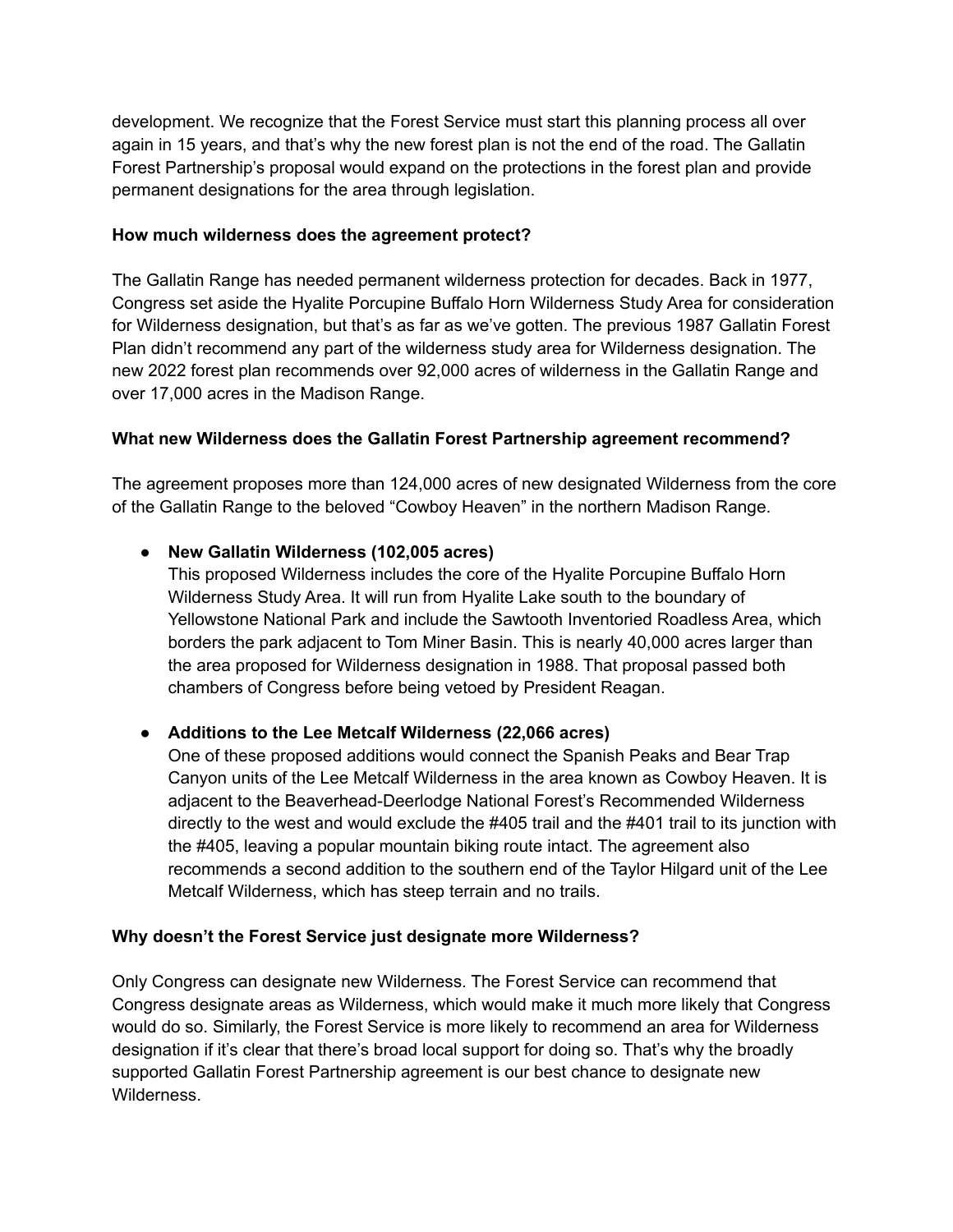development. We recognize that the Forest Service must start this planning process all over again in 15 years, and that's why the new forest plan is not the end of the road. The Gallatin Forest Partnership's proposal would expand on the protections in the forest plan and provide permanent designations for the area through legislation.

## **How much wilderness does the agreement protect?**

The Gallatin Range has needed permanent wilderness protection for decades. Back in 1977, Congress set aside the Hyalite Porcupine Buffalo Horn Wilderness Study Area for consideration for Wilderness designation, but that's as far as we've gotten. The previous 1987 Gallatin Forest Plan didn't recommend any part of the wilderness study area for Wilderness designation. The new 2022 forest plan recommends over 92,000 acres of wilderness in the Gallatin Range and over 17,000 acres in the Madison Range.

#### **What new Wilderness does the Gallatin Forest Partnership agreement recommend?**

The agreement proposes more than 124,000 acres of new designated Wilderness from the core of the Gallatin Range to the beloved "Cowboy Heaven" in the northern Madison Range.

# **● New Gallatin Wilderness (102,005 acres)**

This proposed Wilderness includes the core of the Hyalite Porcupine Buffalo Horn Wilderness Study Area. It will run from Hyalite Lake south to the boundary of Yellowstone National Park and include the Sawtooth Inventoried Roadless Area, which borders the park adjacent to Tom Miner Basin. This is nearly 40,000 acres larger than the area proposed for Wilderness designation in 1988. That proposal passed both chambers of Congress before being vetoed by President Reagan.

# **● Additions to the Lee Metcalf Wilderness (22,066 acres)**

One of these proposed additions would connect the Spanish Peaks and Bear Trap Canyon units of the Lee Metcalf Wilderness in the area known as Cowboy Heaven. It is adjacent to the Beaverhead-Deerlodge National Forest's Recommended Wilderness directly to the west and would exclude the #405 trail and the #401 trail to its junction with the #405, leaving a popular mountain biking route intact. The agreement also recommends a second addition to the southern end of the Taylor Hilgard unit of the Lee Metcalf Wilderness, which has steep terrain and no trails.

#### **Why doesn't the Forest Service just designate more Wilderness?**

Only Congress can designate new Wilderness. The Forest Service can recommend that Congress designate areas as Wilderness, which would make it much more likely that Congress would do so. Similarly, the Forest Service is more likely to recommend an area for Wilderness designation if it's clear that there's broad local support for doing so. That's why the broadly supported Gallatin Forest Partnership agreement is our best chance to designate new Wilderness.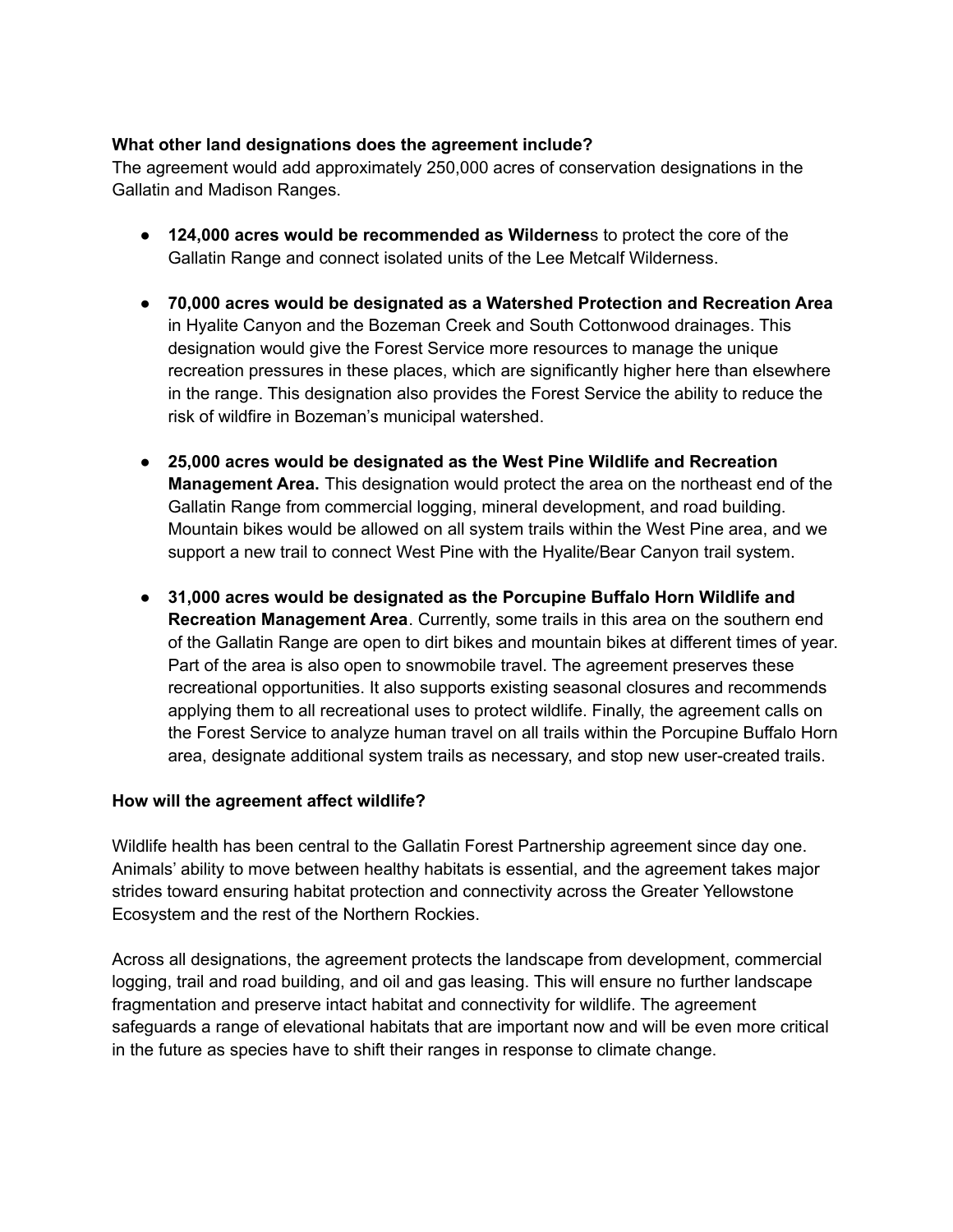## **What other land designations does the agreement include?**

The agreement would add approximately 250,000 acres of conservation designations in the Gallatin and Madison Ranges.

- **124,000 acres would be recommended as Wildernes**s to protect the core of the Gallatin Range and connect isolated units of the Lee Metcalf Wilderness.
- **● 70,000 acres would be designated as a Watershed Protection and Recreation Area** in Hyalite Canyon and the Bozeman Creek and South Cottonwood drainages. This designation would give the Forest Service more resources to manage the unique recreation pressures in these places, which are significantly higher here than elsewhere in the range. This designation also provides the Forest Service the ability to reduce the risk of wildfire in Bozeman's municipal watershed.
- **● 25,000 acres would be designated as the West Pine Wildlife and Recreation Management Area.** This designation would protect the area on the northeast end of the Gallatin Range from commercial logging, mineral development, and road building. Mountain bikes would be allowed on all system trails within the West Pine area, and we support a new trail to connect West Pine with the Hyalite/Bear Canyon trail system.
- **● 31,000 acres would be designated as the Porcupine Buffalo Horn Wildlife and Recreation Management Area**. Currently, some trails in this area on the southern end of the Gallatin Range are open to dirt bikes and mountain bikes at different times of year. Part of the area is also open to snowmobile travel. The agreement preserves these recreational opportunities. It also supports existing seasonal closures and recommends applying them to all recreational uses to protect wildlife. Finally, the agreement calls on the Forest Service to analyze human travel on all trails within the Porcupine Buffalo Horn area, designate additional system trails as necessary, and stop new user-created trails.

#### **How will the agreement affect wildlife?**

Wildlife health has been central to the Gallatin Forest Partnership agreement since day one. Animals' ability to move between healthy habitats is essential, and the agreement takes major strides toward ensuring habitat protection and connectivity across the Greater Yellowstone Ecosystem and the rest of the Northern Rockies.

Across all designations, the agreement protects the landscape from development, commercial logging, trail and road building, and oil and gas leasing. This will ensure no further landscape fragmentation and preserve intact habitat and connectivity for wildlife. The agreement safeguards a range of elevational habitats that are important now and will be even more critical in the future as species have to shift their ranges in response to climate change.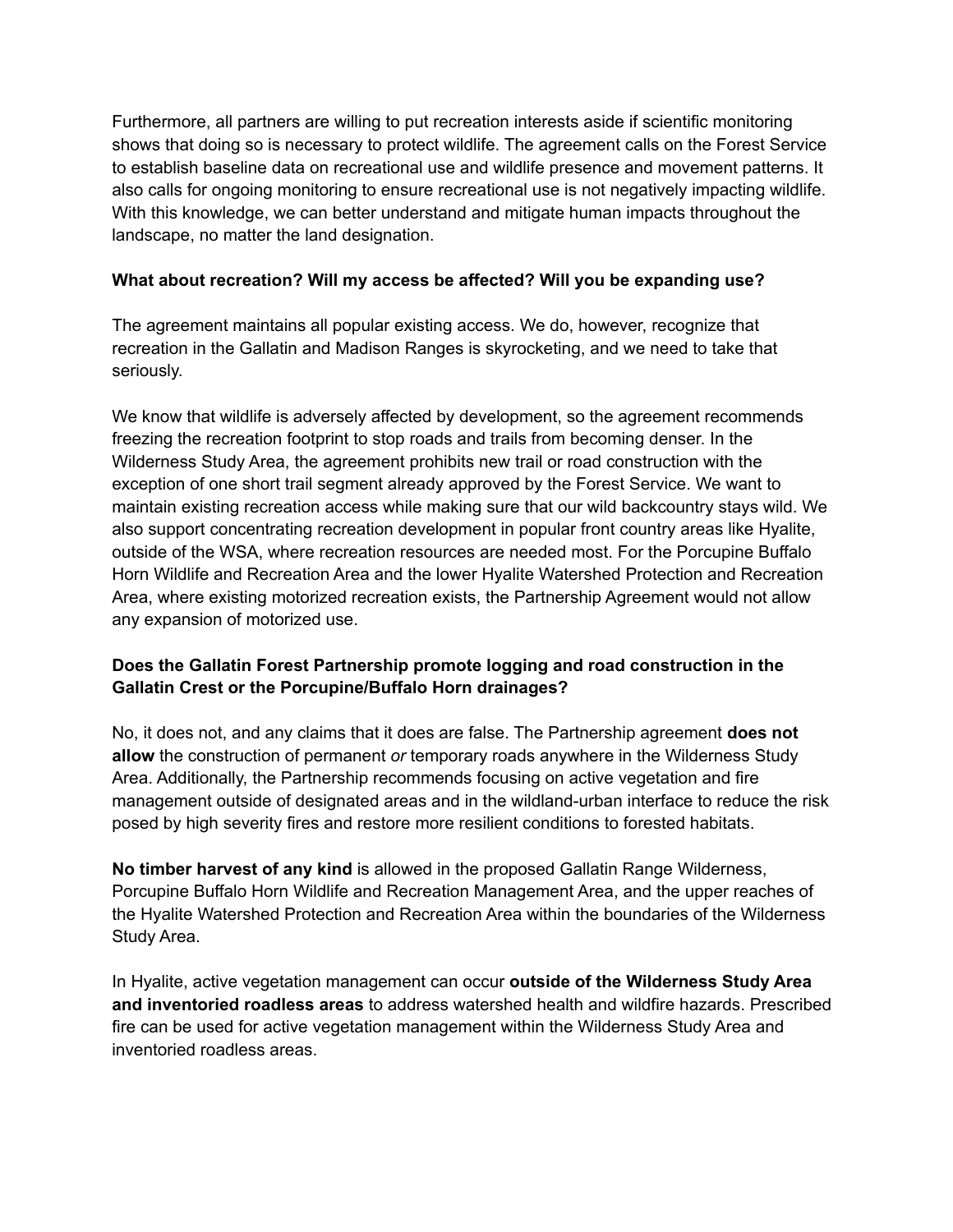Furthermore, all partners are willing to put recreation interests aside if scientific monitoring shows that doing so is necessary to protect wildlife. The agreement calls on the Forest Service to establish baseline data on recreational use and wildlife presence and movement patterns. It also calls for ongoing monitoring to ensure recreational use is not negatively impacting wildlife. With this knowledge, we can better understand and mitigate human impacts throughout the landscape, no matter the land designation.

## **What about recreation? Will my access be affected? Will you be expanding use?**

The agreement maintains all popular existing access. We do, however, recognize that recreation in the Gallatin and Madison Ranges is skyrocketing, and we need to take that seriously.

We know that wildlife is adversely affected by development, so the agreement recommends freezing the recreation footprint to stop roads and trails from becoming denser. In the Wilderness Study Area, the agreement prohibits new trail or road construction with the exception of one short trail segment already approved by the Forest Service. We want to maintain existing recreation access while making sure that our wild backcountry stays wild. We also support concentrating recreation development in popular front country areas like Hyalite, outside of the WSA, where recreation resources are needed most. For the Porcupine Buffalo Horn Wildlife and Recreation Area and the lower Hyalite Watershed Protection and Recreation Area, where existing motorized recreation exists, the Partnership Agreement would not allow any expansion of motorized use.

# **Does the Gallatin Forest Partnership promote logging and road construction in the Gallatin Crest or the Porcupine/Buffalo Horn drainages?**

No, it does not, and any claims that it does are false. The Partnership agreement **does not allow** the construction of permanent *or* temporary roads anywhere in the Wilderness Study Area. Additionally, the Partnership recommends focusing on active vegetation and fire management outside of designated areas and in the wildland-urban interface to reduce the risk posed by high severity fires and restore more resilient conditions to forested habitats.

**No timber harvest of any kind** is allowed in the proposed Gallatin Range Wilderness, Porcupine Buffalo Horn Wildlife and Recreation Management Area, and the upper reaches of the Hyalite Watershed Protection and Recreation Area within the boundaries of the Wilderness Study Area.

In Hyalite, active vegetation management can occur **outside of the Wilderness Study Area and inventoried roadless areas** to address watershed health and wildfire hazards. Prescribed fire can be used for active vegetation management within the Wilderness Study Area and inventoried roadless areas.